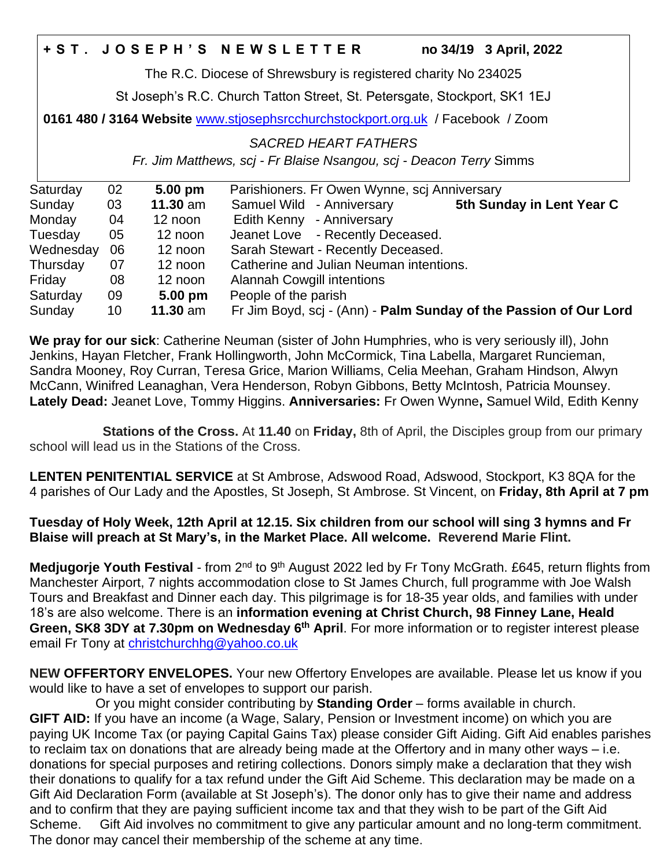## **+ S T . J O S E P H ' S N E W S L E T T E R no 34/19 3 April, 2022**

The R.C. Diocese of Shrewsbury is registered charity No 234025

St Joseph's R.C. Church Tatton Street, St. Petersgate, Stockport, SK1 1EJ

**0161 480 / 3164 Website** [www.stjosephsrcchurchstockport.org.uk](http://www.stjosephsrcchurchstockport.org.uk/) / Facebook / Zoom

*SACRED HEART FATHERS*

*Fr. Jim Matthews, scj - Fr Blaise Nsangou, scj - Deacon Terry* Simms

| Saturday  | 02 | $5.00 \text{ pm}$ | Parishioners. Fr Owen Wynne, scj Anniversary                      |
|-----------|----|-------------------|-------------------------------------------------------------------|
| Sunday    | 03 | $11.30$ am        | 5th Sunday in Lent Year C<br>Samuel Wild - Anniversary            |
| Monday    | 04 | 12 noon           | Edith Kenny - Anniversary                                         |
| Tuesday   | 05 | 12 noon           | Jeanet Love - Recently Deceased.                                  |
| Wednesday | 06 | 12 noon           | Sarah Stewart - Recently Deceased.                                |
| Thursday  | 07 | 12 noon           | Catherine and Julian Neuman intentions.                           |
| Friday    | 08 | 12 noon           | <b>Alannah Cowgill intentions</b>                                 |
| Saturday  | 09 | $5.00 \text{ pm}$ | People of the parish                                              |
| Sunday    | 10 | $11.30$ am        | Fr Jim Boyd, scj - (Ann) - Palm Sunday of the Passion of Our Lord |

**We pray for our sick**: Catherine Neuman (sister of John Humphries, who is very seriously ill), John Jenkins, Hayan Fletcher, Frank Hollingworth, John McCormick, Tina Labella, Margaret Runcieman, Sandra Mooney, Roy Curran, Teresa Grice, Marion Williams, Celia Meehan, Graham Hindson, Alwyn McCann, Winifred Leanaghan, Vera Henderson, Robyn Gibbons, Betty McIntosh, Patricia Mounsey. **Lately Dead:** Jeanet Love, Tommy Higgins. **Anniversaries:** Fr Owen Wynne**,** Samuel Wild, Edith Kenny

 **Stations of the Cross.** At **11.40** on **Friday,** 8th of April, the Disciples group from our primary school will lead us in the Stations of the Cross.

**LENTEN PENITENTIAL SERVICE** at St Ambrose, Adswood Road, Adswood, Stockport, K3 8QA for the 4 parishes of Our Lady and the Apostles, St Joseph, St Ambrose. St Vincent, on **Friday, 8th April at 7 pm**

**Tuesday of Holy Week, 12th April at 12.15. Six children from our school will sing 3 hymns and Fr Blaise will preach at St Mary's, in the Market Place. All welcome. Reverend Marie Flint.**

Medjugorje Youth Festival - from 2<sup>nd</sup> to 9<sup>th</sup> August 2022 led by Fr Tony McGrath. £645, return flights from Manchester Airport, 7 nights accommodation close to St James Church, full programme with Joe Walsh Tours and Breakfast and Dinner each day. This pilgrimage is for 18-35 year olds, and families with under 18's are also welcome. There is an **information evening at Christ Church, 98 Finney Lane, Heald Green, SK8 3DY at 7.30pm on Wednesday 6 th April**. For more information or to register interest please email Fr Tony at [christchurchhg@yahoo.co.uk](mailto:christchurchhg@yahoo.co.uk)

**NEW OFFERTORY ENVELOPES.** Your new Offertory Envelopes are available. Please let us know if you would like to have a set of envelopes to support our parish.

 Or you might consider contributing by **Standing Order** – forms available in church. **GIFT AID:** If you have an income (a Wage, Salary, Pension or Investment income) on which you are paying UK Income Tax (or paying Capital Gains Tax) please consider Gift Aiding. Gift Aid enables parishes to reclaim tax on donations that are already being made at the Offertory and in many other ways – i.e. donations for special purposes and retiring collections. Donors simply make a declaration that they wish their donations to qualify for a tax refund under the Gift Aid Scheme. This declaration may be made on a Gift Aid Declaration Form (available at St Joseph's). The donor only has to give their name and address and to confirm that they are paying sufficient income tax and that they wish to be part of the Gift Aid Scheme. Gift Aid involves no commitment to give any particular amount and no long-term commitment. The donor may cancel their membership of the scheme at any time.